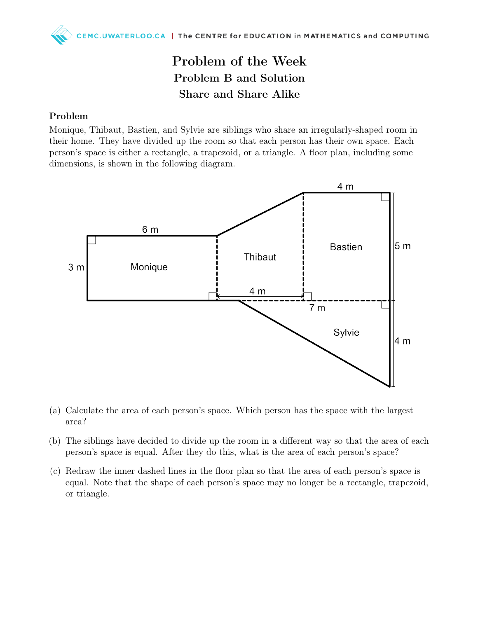## Problem of the Week Problem B and Solution Share and Share Alike

## Problem

Monique, Thibaut, Bastien, and Sylvie are siblings who share an irregularly-shaped room in their home. They have divided up the room so that each person has their own space. Each person's space is either a rectangle, a trapezoid, or a triangle. A floor plan, including some dimensions, is shown in the following diagram.



- (a) Calculate the area of each person's space. Which person has the space with the largest area?
- (b) The siblings have decided to divide up the room in a different way so that the area of each person's space is equal. After they do this, what is the area of each person's space?
- (c) Redraw the inner dashed lines in the floor plan so that the area of each person's space is equal. Note that the shape of each person's space may no longer be a rectangle, trapezoid, or triangle.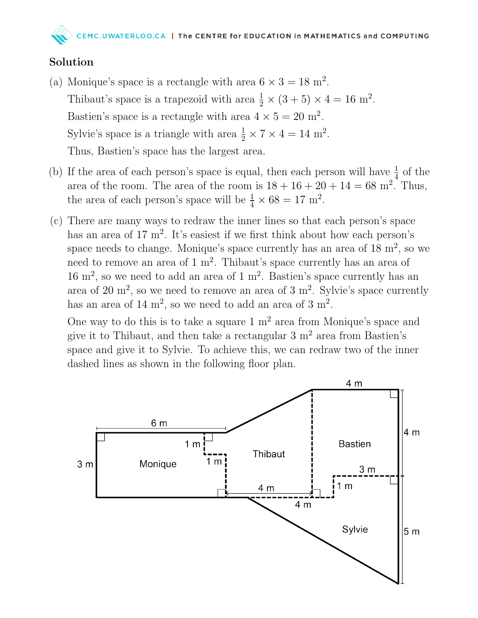## Solution

- (a) Monique's space is a rectangle with area  $6 \times 3 = 18$  m<sup>2</sup>. Thibaut's space is a trapezoid with area  $\frac{1}{2} \times (3 + 5) \times 4 = 16$  m<sup>2</sup>. Bastien's space is a rectangle with area  $4 \times 5 = 20$  m<sup>2</sup>. Sylvie's space is a triangle with area  $\frac{1}{2} \times 7 \times 4 = 14$  m<sup>2</sup>. Thus, Bastien's space has the largest area.
- (b) If the area of each person's space is equal, then each person will have  $\frac{1}{4}$  of the area of the room. The area of the room is  $18 + 16 + 20 + 14 = 68$  m<sup>2</sup>. Thus, the area of each person's space will be  $\frac{1}{4} \times 68 = 17$  m<sup>2</sup>.
- (c) There are many ways to redraw the inner lines so that each person's space has an area of  $17 \text{ m}^2$ . It's easiest if we first think about how each person's space needs to change. Monique's space currently has an area of  $18 \text{ m}^2$ , so we need to remove an area of  $1 \text{ m}^2$ . Thibaut's space currently has an area of  $16 \text{ m}^2$ , so we need to add an area of 1 m<sup>2</sup>. Bastien's space currently has an area of 20 m<sup>2</sup>, so we need to remove an area of 3 m<sup>2</sup>. Sylvie's space currently has an area of  $14 \text{ m}^2$ , so we need to add an area of  $3 \text{ m}^2$ .

One way to do this is to take a square  $1 \text{ m}^2$  area from Monique's space and give it to Thibaut, and then take a rectangular  $3 \text{ m}^2$  area from Bastien's space and give it to Sylvie. To achieve this, we can redraw two of the inner dashed lines as shown in the following floor plan.